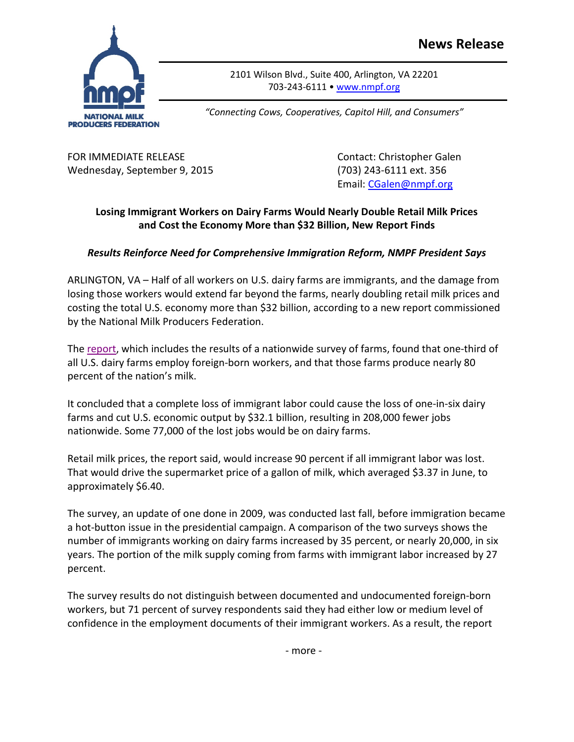

2101 Wilson Blvd., Suite 400, Arlington, VA 22201 703-243-6111 • [www.nmpf.org](http://www.nmpf.org/)

*"Connecting Cows, Cooperatives, Capitol Hill, and Consumers"*

FOR IMMEDIATE RELEASE Contact: Christopher Galen Wednesday, September 9, 2015 (703) 243-6111 ext. 356

Email: [CGalen@nmpf.org](mailto:CGalen@nmpf.org)

## **Losing Immigrant Workers on Dairy Farms Would Nearly Double Retail Milk Prices and Cost the Economy More than \$32 Billion, New Report Finds**

## *Results Reinforce Need for Comprehensive Immigration Reform, NMPF President Says*

ARLINGTON, VA – Half of all workers on U.S. dairy farms are immigrants, and the damage from losing those workers would extend far beyond the farms, nearly doubling retail milk prices and costing the total U.S. economy more than \$32 billion, according to a new report commissioned by the National Milk Producers Federation.

The [report,](http://www.nmpf.org/files/immigration-survey-090915.pdf) which includes the results of a nationwide survey of farms, found that one-third of all U.S. dairy farms employ foreign-born workers, and that those farms produce nearly 80 percent of the nation's milk.

It concluded that a complete loss of immigrant labor could cause the loss of one-in-six dairy farms and cut U.S. economic output by \$32.1 billion, resulting in 208,000 fewer jobs nationwide. Some 77,000 of the lost jobs would be on dairy farms.

Retail milk prices, the report said, would increase 90 percent if all immigrant labor was lost. That would drive the supermarket price of a gallon of milk, which averaged \$3.37 in June, to approximately \$6.40.

The survey, an update of one done in 2009, was conducted last fall, before immigration became a hot-button issue in the presidential campaign. A comparison of the two surveys shows the number of immigrants working on dairy farms increased by 35 percent, or nearly 20,000, in six years. The portion of the milk supply coming from farms with immigrant labor increased by 27 percent.

The survey results do not distinguish between documented and undocumented foreign-born workers, but 71 percent of survey respondents said they had either low or medium level of confidence in the employment documents of their immigrant workers. As a result, the report

- more -